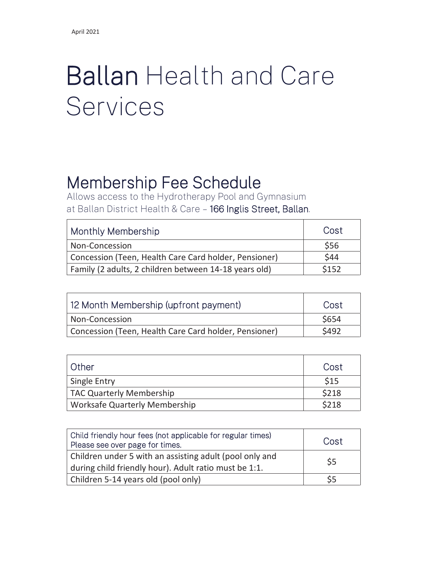## Ballan Health and Care Services

## Membership Fee Schedule

Allows access to the Hydrotherapy Pool and Gymnasium at Ballan District Health & Care – 166 Inglis Street, Ballan.

| Monthly Membership                                    | Cost  |
|-------------------------------------------------------|-------|
| Non-Concession                                        | \$56  |
| Concession (Teen, Health Care Card holder, Pensioner) | \$44  |
| Family (2 adults, 2 children between 14-18 years old) | \$152 |

| 12 Month Membership (upfront payment)                 | Cost         |
|-------------------------------------------------------|--------------|
| Non-Concession                                        | <b>\$654</b> |
| Concession (Teen, Health Care Card holder, Pensioner) | <b>\$492</b> |

| ı Other                         | Cost  |
|---------------------------------|-------|
| Single Entry                    | \$15  |
| <b>TAC Quarterly Membership</b> | \$218 |
| Worksafe Quarterly Membership   | \$218 |

| Child friendly hour fees (not applicable for regular times)<br>Please see over page for times.                   | Cost |
|------------------------------------------------------------------------------------------------------------------|------|
| Children under 5 with an assisting adult (pool only and<br>during child friendly hour). Adult ratio must be 1:1. | \$5  |
| Children 5-14 years old (pool only)                                                                              |      |